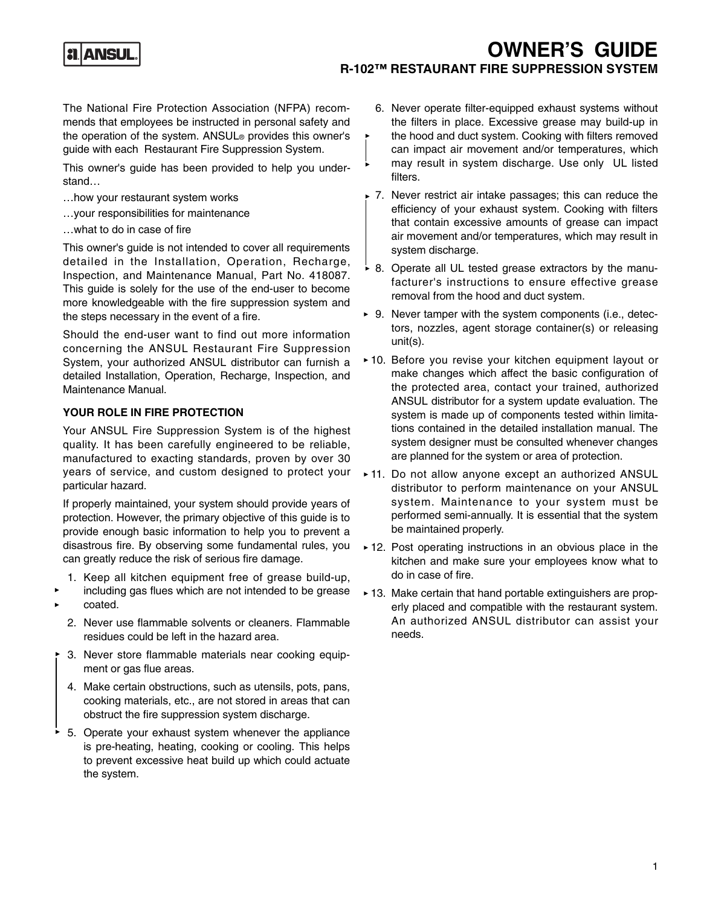## **JANSU**

### **OWNER'S GUIDE R-102™ RESTAURANT FIRE SUPPRESSION SYSTEM**

The National Fire Protection Association (NFPA) recommends that employees be instructed in personal safety and the operation of the system. ANSUL® provides this owner's guide with each Restaurant Fire Suppression System.

This owner's guide has been provided to help you understand…

- …how your restaurant system works
- …your responsibilities for maintenance
- …what to do in case of fire

This owner's guide is not intended to cover all requirements detailed in the Installation, Operation, Recharge, Inspection, and Maintenance Manual, Part No. 418087. This guide is solely for the use of the end-user to become more knowledgeable with the fire suppression system and the steps necessary in the event of a fire.

Should the end-user want to find out more information concerning the ANSUL Restaurant Fire Suppression System, your authorized ANSUL distributor can furnish a detailed Installation, Operation, Recharge, Inspection, and Maintenance Manual.

### **YOUR ROLE IN FIRE PROTECTION**

Your ANSUL Fire Suppression System is of the highest quality. It has been carefully engineered to be reliable, manufactured to exacting standards, proven by over 30 years of service, and custom designed to protect your particular hazard.

If properly maintained, your system should provide years of protection. However, the primary objective of this guide is to provide enough basic information to help you to prevent a disastrous fire. By observing some fundamental rules, you can greatly reduce the risk of serious fire damage.

- 1. Keep all kitchen equipment free of grease build-up,
- including gas flues which are not intended to be grease coated.
- 2. Never use flammable solvents or cleaners. Flammable residues could be left in the hazard area.
- 3. Never store flammable materials near cooking equipment or gas flue areas.
- 4. Make certain obstructions, such as utensils, pots, pans, cooking materials, etc., are not stored in areas that can obstruct the fire suppression system discharge.
- 5. Operate your exhaust system whenever the appliance is pre-heating, heating, cooking or cooling. This helps to prevent excessive heat build up which could actuate the system.
- 6. Never operate filter-equipped exhaust systems without the filters in place. Excessive grease may build-up in the hood and duct system. Cooking with filters removed can impact air movement and/or temperatures, which may result in system discharge. Use only UL listed filters.
- 7. Never restrict air intake passages; this can reduce the efficiency of your exhaust system. Cooking with filters that contain excessive amounts of grease can impact air movement and/or temperatures, which may result in system discharge.
- $\overline{6}$  8. Operate all UL tested grease extractors by the manufacturer's instructions to ensure effective grease removal from the hood and duct system.
- ► 9. Never tamper with the system components (i.e., detectors, nozzles, agent storage container(s) or releasing unit(s).
- ▶ 10. Before you revise your kitchen equipment layout or make changes which affect the basic configuration of the protected area, contact your trained, authorized ANSUL distributor for a system update evaluation. The system is made up of components tested within limitations contained in the detailed installation manual. The system designer must be consulted whenever changes are planned for the system or area of protection.
- 11. Do not allow anyone except an authorized ANSUL distributor to perform maintenance on your ANSUL system. Maintenance to your system must be performed semi-annually. It is essential that the system be maintained properly.
- ▶ 12. Post operating instructions in an obvious place in the kitchen and make sure your employees know what to do in case of fire.
- ► 13. Make certain that hand portable extinguishers are properly placed and compatible with the restaurant system. An authorized ANSUL distributor can assist your needs.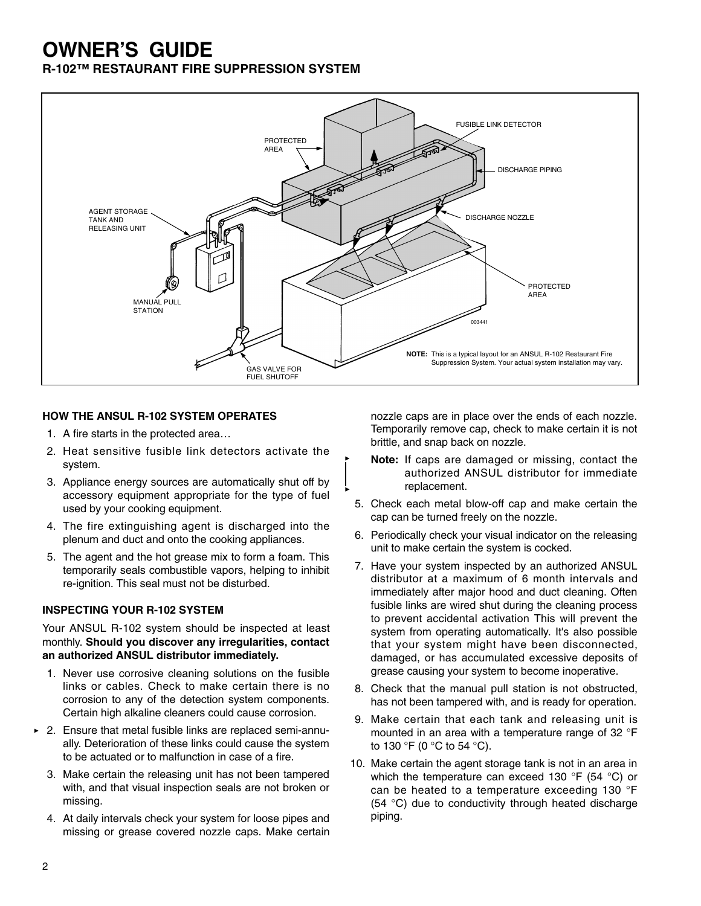# **OWNER'S GUIDE**

**R-102™ RESTAURANT FIRE SUPPRESSION SYSTEM**



### **HOW THE ANSUL R-102 SYSTEM OPERATES**

- 1. A fire starts in the protected area…
- 2. Heat sensitive fusible link detectors activate the system.
- 3. Appliance energy sources are automatically shut off by accessory equipment appropriate for the type of fuel used by your cooking equipment.
- 4. The fire extinguishing agent is discharged into the plenum and duct and onto the cooking appliances.
- 5. The agent and the hot grease mix to form a foam. This temporarily seals combustible vapors, helping to inhibit re-ignition. This seal must not be disturbed.

#### **INSPECTING YOUR R-102 SYSTEM**

Your ANSUL R-102 system should be inspected at least monthly. **Should you discover any irregularities, contact an authorized ANSUL distributor immediately.**

- 1. Never use corrosive cleaning solutions on the fusible links or cables. Check to make certain there is no corrosion to any of the detection system components. Certain high alkaline cleaners could cause corrosion.
- ► 2. Ensure that metal fusible links are replaced semi-annually. Deterioration of these links could cause the system to be actuated or to malfunction in case of a fire.
	- 3. Make certain the releasing unit has not been tampered with, and that visual inspection seals are not broken or missing.
	- 4. At daily intervals check your system for loose pipes and missing or grease covered nozzle caps. Make certain

nozzle caps are in place over the ends of each nozzle. Temporarily remove cap, check to make certain it is not brittle, and snap back on nozzle.

- **Note:** If caps are damaged or missing, contact the authorized ANSUL distributor for immediate replacement.
- 5. Check each metal blow-off cap and make certain the cap can be turned freely on the nozzle.
- 6. Periodically check your visual indicator on the releasing unit to make certain the system is cocked.
- 7. Have your system inspected by an authorized ANSUL distributor at a maximum of 6 month intervals and immediately after major hood and duct cleaning. Often fusible links are wired shut during the cleaning process to prevent accidental activation This will prevent the system from operating automatically. It's also possible that your system might have been disconnected, damaged, or has accumulated excessive deposits of grease causing your system to become inoperative.
- 8. Check that the manual pull station is not obstructed, has not been tampered with, and is ready for operation.
- 9. Make certain that each tank and releasing unit is mounted in an area with a temperature range of 32 °F to 130 °F (0 °C to 54 °C).
- 10. Make certain the agent storage tank is not in an area in which the temperature can exceed 130 °F (54 °C) or can be heated to a temperature exceeding 130 °F (54 °C) due to conductivity through heated discharge piping.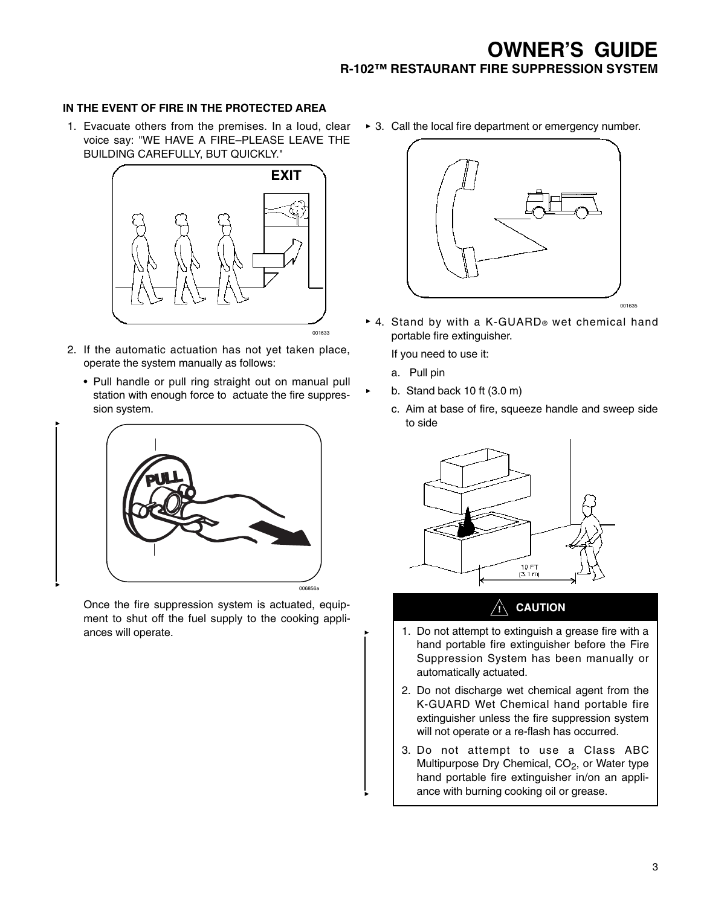### **IN THE EVENT OF FIRE IN THE PROTECTED AREA**

1. Evacuate others from the premises. In a loud, clear voice say: "WE HAVE A FIRE–PLEASE LEAVE THE BUILDING CAREFULLY, BUT QUICKLY."



- 2. If the automatic actuation has not yet taken place, operate the system manually as follows:
	- Pull handle or pull ring straight out on manual pull station with enough force to actuate the fire suppression system.



Once the fire suppression system is actuated, equipment to shut off the fuel supply to the cooking appliances will operate.

▶ 3. Call the local fire department or emergency number.



4. Stand by with a K-GUARD® wet chemical hand portable fire extinguisher.

If you need to use it:

- a. Pull pin
- b. Stand back 10 ft (3.0 m)
	- c. Aim at base of fire, squeeze handle and sweep side to side



### **! CAUTION**

- 1. Do not attempt to extinguish a grease fire with a hand portable fire extinguisher before the Fire Suppression System has been manually or automatically actuated.
- 2. Do not discharge wet chemical agent from the K-GUARD Wet Chemical hand portable fire extinguisher unless the fire suppression system will not operate or a re-flash has occurred.
- 3. Do not attempt to use a Class ABC Multipurpose Dry Chemical,  $CO<sub>2</sub>$ , or Water type hand portable fire extinguisher in/on an appliance with burning cooking oil or grease.